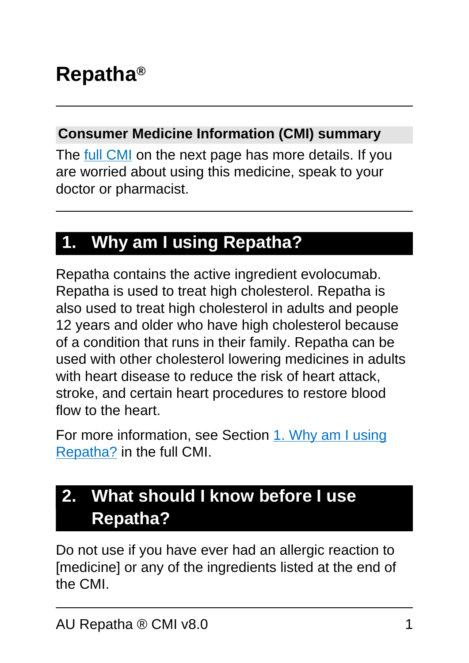#### **Consumer Medicine Information (CMI) summary**

The [full CMI](#page-4-0) on the next page has more details. If you are worried about using this medicine, speak to your doctor or pharmacist.

## **1. Why am I using Repatha?**

Repatha contains the active ingredient evolocumab. Repatha is used to treat high cholesterol. Repatha is also used to treat high cholesterol in adults and people 12 years and older who have high cholesterol because of a condition that runs in their family. Repatha can be used with other cholesterol lowering medicines in adults with heart disease to reduce the risk of heart attack, stroke, and certain heart procedures to restore blood flow to the heart.

For more information, see Section [1. Why am I using](#page-4-1) [Repatha?](#page-4-1) in the full CMI.

## **2. What should I know before I use Repatha?**

Do not use if you have ever had an allergic reaction to [medicine] or any of the ingredients listed at the end of the CMI.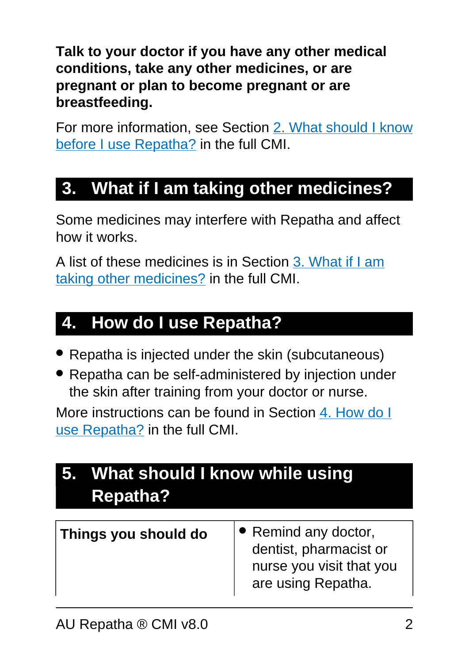**Talk to your doctor if you have any other medical conditions, take any other medicines, or are pregnant or plan to become pregnant or are breastfeeding.**

For more information, see Section [2. What should I know](#page-6-0) [before I use Repatha?](#page-6-0) in the full CMI.

## **3. What if I am taking other medicines?**

Some medicines may interfere with Repatha and affect how it works.

A list of these medicines is in Section [3. What if I am](#page-8-0) [taking other medicines?](#page-8-0) in the full CMI.

## **4. How do I use Repatha?**

- Repatha is injected under the skin (subcutaneous)
- Repatha can be self-administered by injection under the skin after training from your doctor or nurse.

More instructions can be found in Section [4. How do I](#page-8-1) [use Repatha?](#page-8-1) in the full CMI.

| 5. What should I know while using<br><b>Repatha?</b> |                                                                                                  |
|------------------------------------------------------|--------------------------------------------------------------------------------------------------|
| Things you should do                                 | • Remind any doctor,<br>dentist, pharmacist or<br>nurse you visit that you<br>are using Repatha. |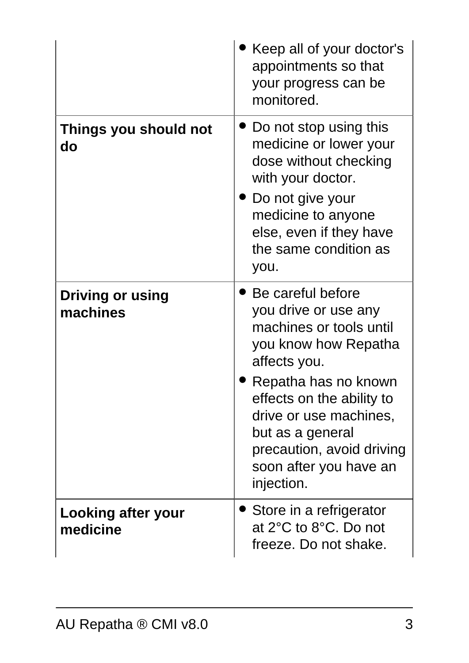|                                     | Keep all of your doctor's<br>appointments so that<br>your progress can be<br>monitored.                                                                                                                                                                                              |
|-------------------------------------|--------------------------------------------------------------------------------------------------------------------------------------------------------------------------------------------------------------------------------------------------------------------------------------|
| Things you should not<br>do         | Do not stop using this<br>medicine or lower your<br>dose without checking<br>with your doctor.<br>● Do not give your<br>medicine to anyone<br>else, even if they have<br>the same condition as<br>you.                                                                               |
| <b>Driving or using</b><br>machines | Be careful before<br>you drive or use any<br>machines or tools until<br>you know how Repatha<br>affects you.<br>Repatha has no known<br>effects on the ability to<br>drive or use machines,<br>but as a general<br>precaution, avoid driving<br>soon after you have an<br>injection. |
| Looking after your<br>medicine      | Store in a refrigerator<br>at 2°C to 8°C. Do not<br>freeze. Do not shake.                                                                                                                                                                                                            |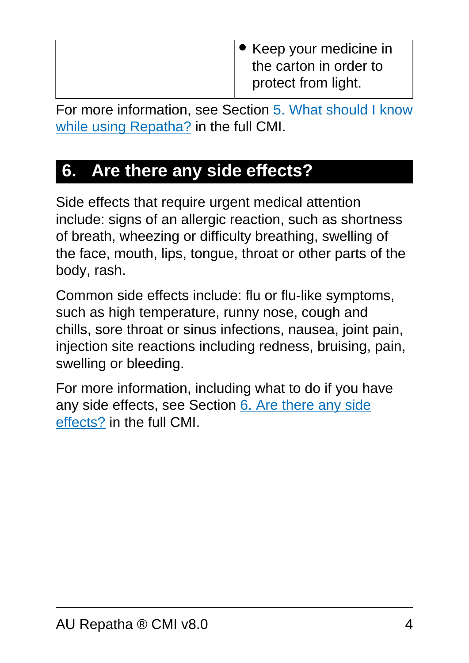Keep your medicine in the carton in order to protect from light.

For more information, see Section [5. What should I know](#page-11-0) [while using Repatha?](#page-11-0) in the full CMI.

## **6. Are there any side effects?**

Side effects that require urgent medical attention include: signs of an allergic reaction, such as shortness of breath, wheezing or difficulty breathing, swelling of the face, mouth, lips, tongue, throat or other parts of the body, rash.

Common side effects include: flu or flu-like symptoms, such as high temperature, runny nose, cough and chills, sore throat or sinus infections, nausea, joint pain, injection site reactions including redness, bruising, pain, swelling or bleeding.

For more information, including what to do if you have any side effects, see Section [6. Are there any side](#page-13-0) [effects?](#page-13-0) in the full CMI.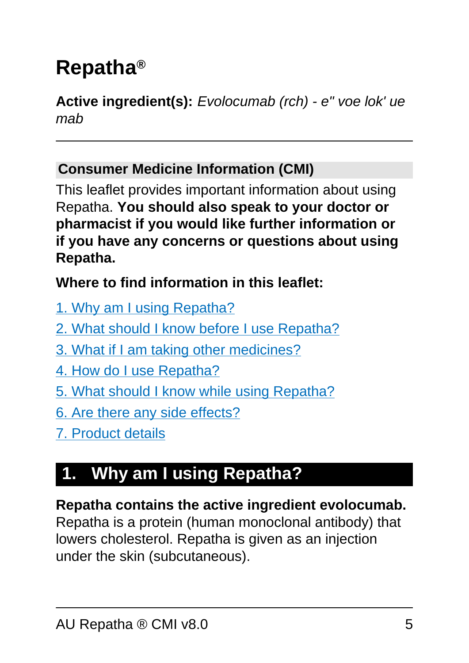# <span id="page-4-0"></span>**Repatha®**

**Active ingredient(s):** Evolocumab (rch) - e" voe lok' ue mab

#### **Consumer Medicine Information (CMI)**

This leaflet provides important information about using Repatha. **You should also speak to your doctor or pharmacist if you would like further information or if you have any concerns or questions about using Repatha.**

#### **Where to find information in this leaflet:**

- [1. Why am I using Repatha?](#page-4-1)
- [2. What should I know before I use Repatha?](#page-6-0)
- [3. What if I am taking other medicines?](#page-8-0)
- [4. How do I use Repatha?](#page-8-1)
- [5. What should I know while using Repatha?](#page-11-0)
- [6. Are there any side effects?](#page-13-0)
- [7. Product details](#page-16-0)

## <span id="page-4-1"></span>**1. Why am I using Repatha?**

#### **Repatha contains the active ingredient evolocumab.**

Repatha is a protein (human monoclonal antibody) that lowers cholesterol. Repatha is given as an injection under the skin (subcutaneous).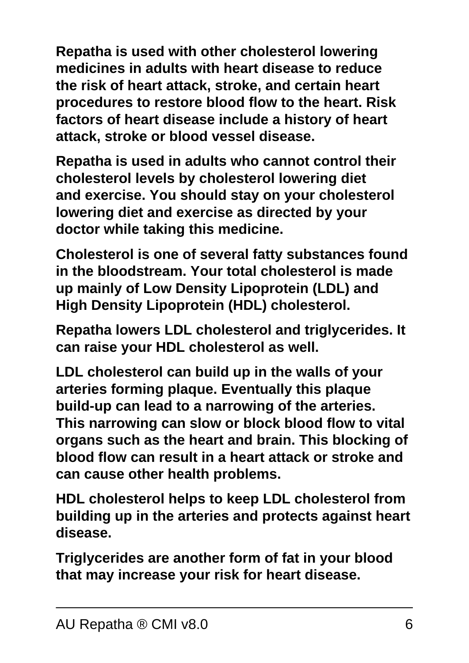**Repatha is used with other cholesterol lowering medicines in adults with heart disease to reduce the risk of heart attack, stroke, and certain heart procedures to restore blood flow to the heart. Risk factors of heart disease include a history of heart attack, stroke or blood vessel disease.**

**Repatha is used in adults who cannot control their cholesterol levels by cholesterol lowering diet and exercise. You should stay on your cholesterol lowering diet and exercise as directed by your doctor while taking this medicine.**

**Cholesterol is one of several fatty substances found in the bloodstream. Your total cholesterol is made up mainly of Low Density Lipoprotein (LDL) and High Density Lipoprotein (HDL) cholesterol.**

**Repatha lowers LDL cholesterol and triglycerides. It can raise your HDL cholesterol as well.**

**LDL cholesterol can build up in the walls of your arteries forming plaque. Eventually this plaque build-up can lead to a narrowing of the arteries. This narrowing can slow or block blood flow to vital organs such as the heart and brain. This blocking of blood flow can result in a heart attack or stroke and can cause other health problems.**

**HDL cholesterol helps to keep LDL cholesterol from building up in the arteries and protects against heart disease.**

**Triglycerides are another form of fat in your blood that may increase your risk for heart disease.**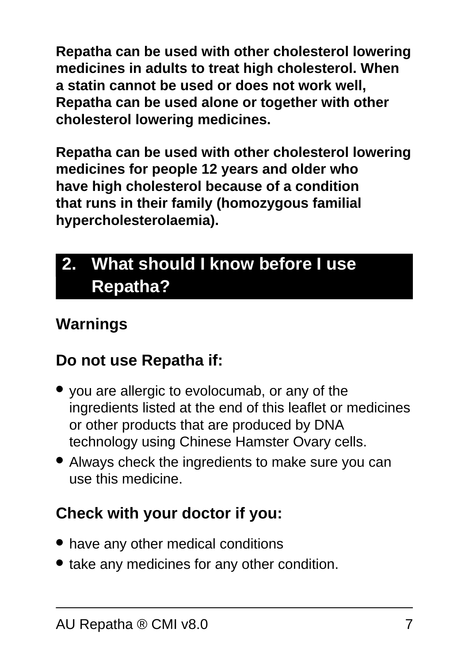**Repatha can be used with other cholesterol lowering medicines in adults to treat high cholesterol. When a statin cannot be used or does not work well, Repatha can be used alone or together with other cholesterol lowering medicines.**

**Repatha can be used with other cholesterol lowering medicines for people 12 years and older who have high cholesterol because of a condition that runs in their family (homozygous familial hypercholesterolaemia).**

## <span id="page-6-0"></span>**2. What should I know before I use Repatha?**

### **Warnings**

### **Do not use Repatha if:**

- you are allergic to evolocumab, or any of the ingredients listed at the end of this leaflet or medicines or other products that are produced by DNA technology using Chinese Hamster Ovary cells.
- Always check the ingredients to make sure you can use this medicine.

## **Check with your doctor if you:**

- have any other medical conditions
- take any medicines for any other condition.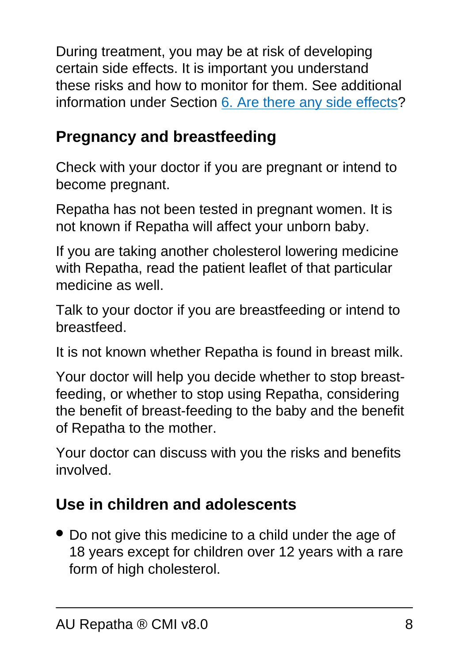During treatment, you may be at risk of developing certain side effects. It is important you understand these risks and how to monitor for them. See additional information under Section [6. Are there any side effects](#page-13-0)?

## **Pregnancy and breastfeeding**

Check with your doctor if you are pregnant or intend to become pregnant.

Repatha has not been tested in pregnant women. It is not known if Repatha will affect your unborn baby.

If you are taking another cholesterol lowering medicine with Repatha, read the patient leaflet of that particular medicine as well.

Talk to your doctor if you are breastfeeding or intend to breastfeed.

It is not known whether Repatha is found in breast milk.

Your doctor will help you decide whether to stop breastfeeding, or whether to stop using Repatha, considering the benefit of breast-feeding to the baby and the benefit of Repatha to the mother.

Your doctor can discuss with you the risks and benefits involved.

## **Use in children and adolescents**

• Do not give this medicine to a child under the age of 18 years except for children over 12 years with a rare form of high cholesterol.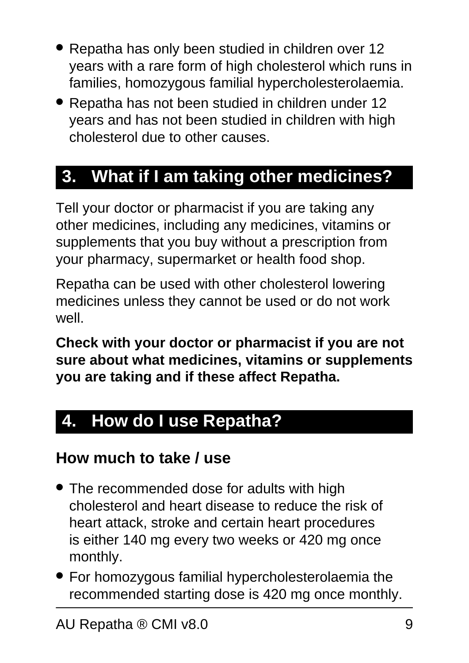- Repatha has only been studied in children over 12 years with a rare form of high cholesterol which runs in families, homozygous familial hypercholesterolaemia.
- Repatha has not been studied in children under 12 years and has not been studied in children with high cholesterol due to other causes.

## <span id="page-8-0"></span>**3. What if I am taking other medicines?**

Tell your doctor or pharmacist if you are taking any other medicines, including any medicines, vitamins or supplements that you buy without a prescription from your pharmacy, supermarket or health food shop.

Repatha can be used with other cholesterol lowering medicines unless they cannot be used or do not work well.

**Check with your doctor or pharmacist if you are not sure about what medicines, vitamins or supplements you are taking and if these affect Repatha.**

## <span id="page-8-1"></span>**4. How do I use Repatha?**

#### **How much to take / use**

- The recommended dose for adults with high cholesterol and heart disease to reduce the risk of heart attack, stroke and certain heart procedures is either 140 mg every two weeks or 420 mg once monthly.
- For homozygous familial hypercholesterolaemia the recommended starting dose is 420 mg once monthly.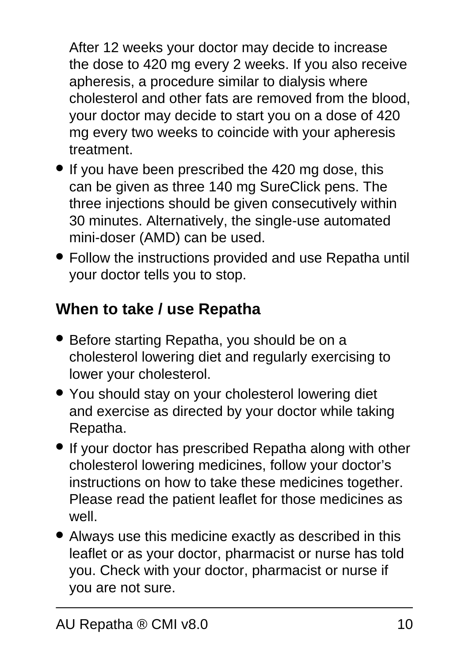After 12 weeks your doctor may decide to increase the dose to 420 mg every 2 weeks. If you also receive apheresis, a procedure similar to dialysis where cholesterol and other fats are removed from the blood, your doctor may decide to start you on a dose of 420 mg every two weeks to coincide with your apheresis treatment.

- If you have been prescribed the 420 mg dose, this can be given as three 140 mg SureClick pens. The three injections should be given consecutively within 30 minutes. Alternatively, the single-use automated mini-doser (AMD) can be used.
- Follow the instructions provided and use Repatha until your doctor tells you to stop.

## **When to take / use Repatha**

- Before starting Repatha, you should be on a cholesterol lowering diet and regularly exercising to lower your cholesterol.
- You should stay on your cholesterol lowering diet and exercise as directed by your doctor while taking Repatha.
- If your doctor has prescribed Repatha along with other cholesterol lowering medicines, follow your doctor's instructions on how to take these medicines together. Please read the patient leaflet for those medicines as well.
- Always use this medicine exactly as described in this leaflet or as your doctor, pharmacist or nurse has told you. Check with your doctor, pharmacist or nurse if you are not sure.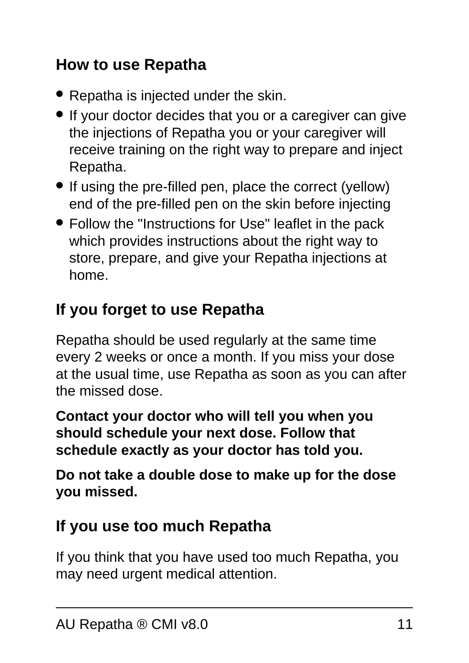### **How to use Repatha**

- Repatha is injected under the skin.
- If your doctor decides that you or a caregiver can give the injections of Repatha you or your caregiver will receive training on the right way to prepare and inject Repatha.
- If using the pre-filled pen, place the correct (yellow) end of the pre-filled pen on the skin before injecting
- Follow the "Instructions for Use" leaflet in the pack which provides instructions about the right way to store, prepare, and give your Repatha injections at home.

## **If you forget to use Repatha**

Repatha should be used regularly at the same time every 2 weeks or once a month. If you miss your dose at the usual time, use Repatha as soon as you can after the missed dose.

**Contact your doctor who will tell you when you should schedule your next dose. Follow that schedule exactly as your doctor has told you.**

**Do not take a double dose to make up for the dose you missed.**

#### **If you use too much Repatha**

If you think that you have used too much Repatha, you may need urgent medical attention.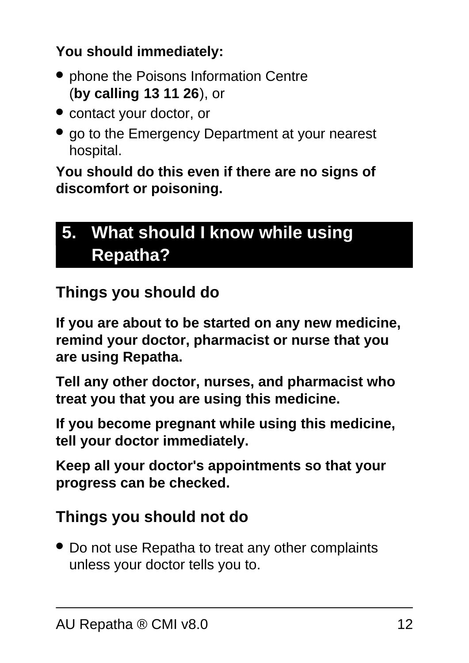#### **You should immediately:**

- phone the Poisons Information Centre (**by calling 13 11 26**), or
- contact your doctor, or
- go to the Emergency Department at your nearest hospital.

**You should do this even if there are no signs of discomfort or poisoning.**

## <span id="page-11-0"></span>**5. What should I know while using Repatha?**

### **Things you should do**

**If you are about to be started on any new medicine, remind your doctor, pharmacist or nurse that you are using Repatha.**

**Tell any other doctor, nurses, and pharmacist who treat you that you are using this medicine.**

**If you become pregnant while using this medicine, tell your doctor immediately.**

**Keep all your doctor's appointments so that your progress can be checked.**

#### **Things you should not do**

• Do not use Repatha to treat any other complaints unless your doctor tells you to.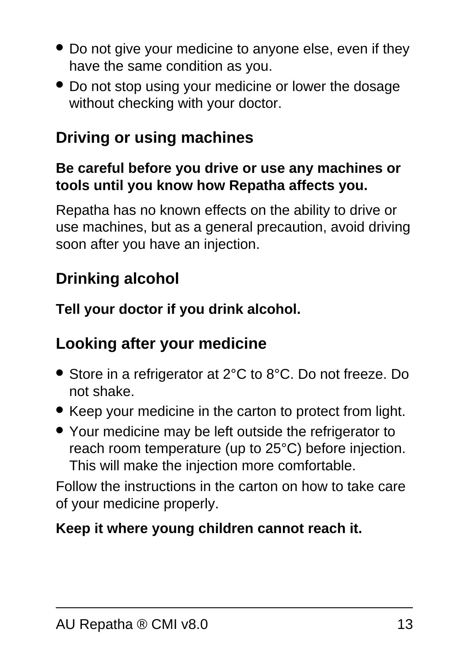- Do not give your medicine to anyone else, even if they have the same condition as you.
- Do not stop using your medicine or lower the dosage without checking with your doctor.

## **Driving or using machines**

#### **Be careful before you drive or use any machines or tools until you know how Repatha affects you.**

Repatha has no known effects on the ability to drive or use machines, but as a general precaution, avoid driving soon after you have an injection.

### **Drinking alcohol**

**Tell your doctor if you drink alcohol.**

### **Looking after your medicine**

- Store in a refrigerator at 2°C to 8°C. Do not freeze. Do not shake.
- Keep your medicine in the carton to protect from light.
- Your medicine may be left outside the refrigerator to reach room temperature (up to 25°C) before injection. This will make the injection more comfortable.

Follow the instructions in the carton on how to take care of your medicine properly.

#### **Keep it where young children cannot reach it.**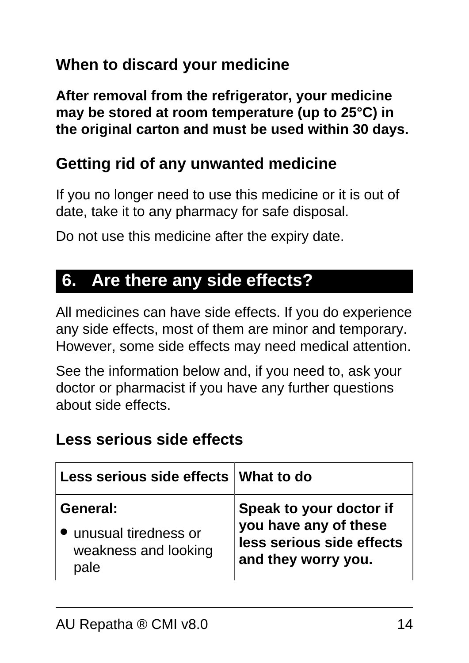### **When to discard your medicine**

**After removal from the refrigerator, your medicine may be stored at room temperature (up to 25°C) in the original carton and must be used within 30 days.**

#### **Getting rid of any unwanted medicine**

If you no longer need to use this medicine or it is out of date, take it to any pharmacy for safe disposal.

Do not use this medicine after the expiry date.

## <span id="page-13-0"></span>**6. Are there any side effects?**

All medicines can have side effects. If you do experience any side effects, most of them are minor and temporary. However, some side effects may need medical attention.

See the information below and, if you need to, ask your doctor or pharmacist if you have any further questions about side effects.

#### **Less serious side effects**

| Less serious side effects   What to do |                           |
|----------------------------------------|---------------------------|
| General:                               | Speak to your doctor if   |
| • unusual tiredness or                 | you have any of these     |
| weakness and looking                   | less serious side effects |
| pale                                   | and they worry you.       |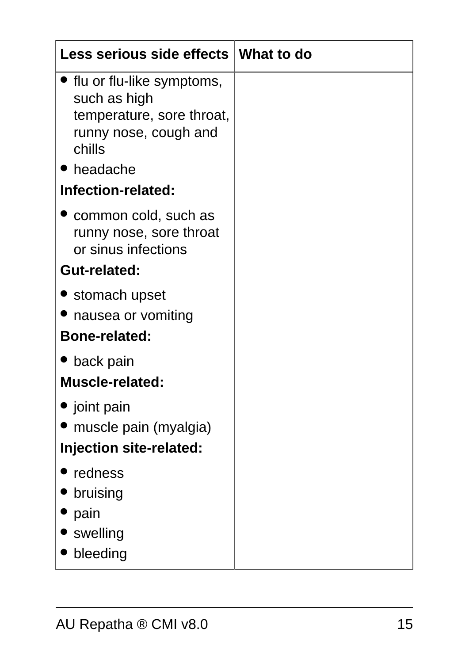| Less serious side effects   What to do                                                                      |  |
|-------------------------------------------------------------------------------------------------------------|--|
| ● flu or flu-like symptoms,<br>such as high<br>temperature, sore throat,<br>runny nose, cough and<br>chills |  |
| headache                                                                                                    |  |
| Infection-related:                                                                                          |  |
| common cold, such as<br>runny nose, sore throat<br>or sinus infections                                      |  |
| <b>Gut-related:</b>                                                                                         |  |
| • stomach upset<br>nausea or vomiting                                                                       |  |
| <b>Bone-related:</b>                                                                                        |  |
| $\bullet$ back pain<br><b>Muscle-related:</b>                                                               |  |
| gioint pain<br>muscle pain (myalgia)<br>Injection site-related:                                             |  |
| redness<br>bruising<br>pain<br>swelling<br>bleeding                                                         |  |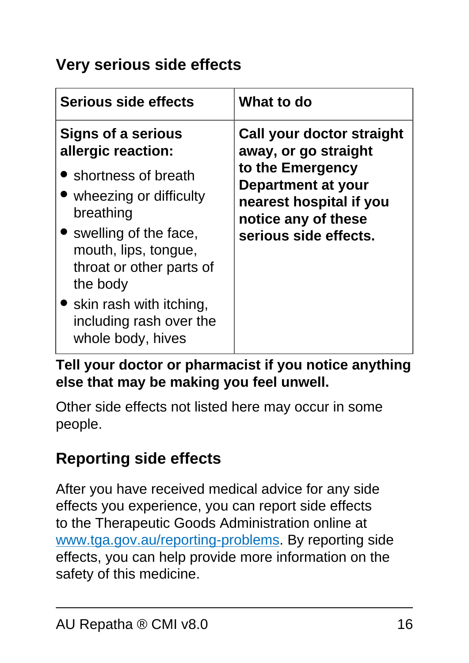### **Very serious side effects**

| <b>Serious side effects</b>                                                                                                                                                                                                                                   | What to do                                                                                                                                                             |
|---------------------------------------------------------------------------------------------------------------------------------------------------------------------------------------------------------------------------------------------------------------|------------------------------------------------------------------------------------------------------------------------------------------------------------------------|
| Signs of a serious<br>allergic reaction:<br>• shortness of breath<br>• wheezing or difficulty<br>breathing<br>• swelling of the face,<br>mouth, lips, tongue,<br>throat or other parts of<br>the body<br>• skin rash with itching,<br>including rash over the | Call your doctor straight<br>away, or go straight<br>to the Emergency<br>Department at your<br>nearest hospital if you<br>notice any of these<br>serious side effects. |
| whole body, hives                                                                                                                                                                                                                                             |                                                                                                                                                                        |

#### **Tell your doctor or pharmacist if you notice anything else that may be making you feel unwell.**

Other side effects not listed here may occur in some people.

### **Reporting side effects**

After you have received medical advice for any side effects you experience, you can report side effects to the Therapeutic Goods Administration online at [www.tga.gov.au/reporting-problems.](http://www.tga.gov.au/reporting-problems) By reporting side effects, you can help provide more information on the safety of this medicine.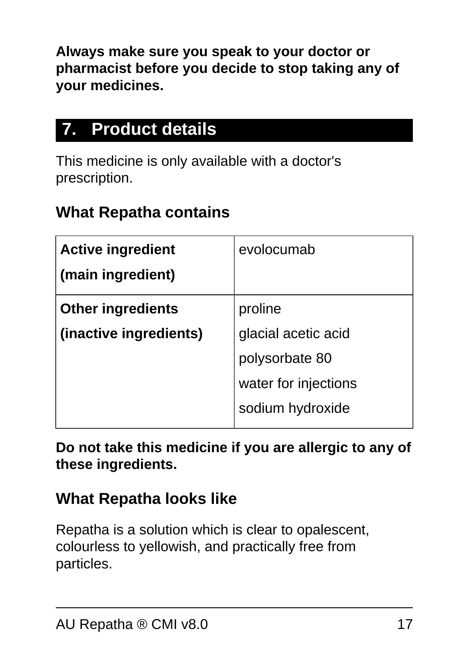**Always make sure you speak to your doctor or pharmacist before you decide to stop taking any of your medicines.**

## <span id="page-16-0"></span>**7. Product details**

This medicine is only available with a doctor's prescription.

### **What Repatha contains**

| <b>Active ingredient</b> | evolocumab           |
|--------------------------|----------------------|
| (main ingredient)        |                      |
| <b>Other ingredients</b> | proline              |
| (inactive ingredients)   | glacial acetic acid  |
|                          | polysorbate 80       |
|                          | water for injections |
|                          | sodium hydroxide     |

**Do not take this medicine if you are allergic to any of these ingredients.**

#### **What Repatha looks like**

Repatha is a solution which is clear to opalescent, colourless to yellowish, and practically free from particles.